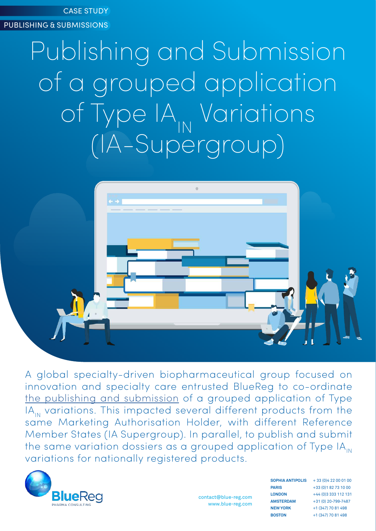CASE STUDY

PUBLISHING & SUBMISSIONS

# Publishing and Submission of a grouped application of Type IA<sub>IN</sub> Variations (IA-Supergroup)



A global specialty-driven biopharmaceutical group focused on innovation and specialty care entrusted BlueReg to co-ordinate [the publishing and submission](https://blue-reg.com/service/outsourcing-publishing-submission-services/) of a grouped application of Type IA<sub>IN</sub> variations. This impacted several different products from the same Marketing Authorisation Holder, with different Reference Member States (IA Supergroup). In parallel, to publish and submit the same variation dossiers as a grouped application of Type  $IA<sub>m</sub>$ variations for nationally registered products.



contact@blue-reg.com www.blue-reg.com **SOPHIA ANTIPOLIS PARIS LONDON AMSTERDAM NEW YORK BOSTON**

 $+ 33 (0)4 22 00 01 00$ +33 (0)1 82 73 10 00 +44 (0)3 333 112 131 +31 (0) 20-799-7487 +1 (347) 70 81 498 +1 (347) 70 81 498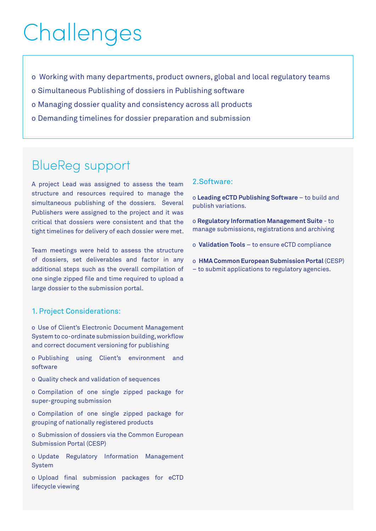# Challenges

- o Working with many departments, product owners, global and local regulatory teams
- o Simultaneous Publishing of dossiers in Publishing software
- o Managing dossier quality and consistency across all products
- o Demanding timelines for dossier preparation and submission

### BlueReg support

A project Lead was assigned to assess the team structure and resources required to manage the simultaneous publishing of the dossiers. Several Publishers were assigned to the project and it was critical that dossiers were consistent and that the tight timelines for delivery of each dossier were met.

Team meetings were held to assess the structure of dossiers, set deliverables and factor in any additional steps such as the overall compilation of one single zipped file and time required to upload a large dossier to the submission portal.

#### 1. Project Considerations:

o Use of Client's Electronic Document Management System to co-ordinate submission building, workflow and correct document versioning for publishing

o Publishing using Client's environment and software

o Quality check and validation of sequences

o Compilation of one single zipped package for super-grouping submission

o Compilation of one single zipped package for grouping of nationally registered products

o Submission of dossiers via the Common European Submission Portal (CESP)

o Update Regulatory Information Management System

o Upload final submission packages for eCTD lifecycle viewing

#### 2.Software:

o **Leading eCTD Publishing Software** – to build and publish variations.

o **Regulatory Information Management Suite** - to manage submissions, registrations and archiving

o **Validation Tools** – to ensure eCTD compliance

o **HMA Common European Submission Portal** (CESP) – to submit applications to regulatory agencies.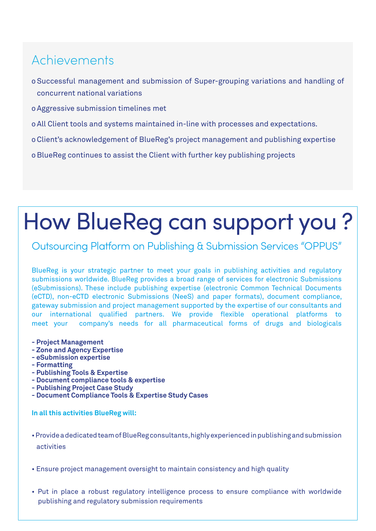### Achievements

- o Successful management and submission of Super-grouping variations and handling of concurrent national variations
- o Aggressive submission timelines met
- o All Client tools and systems maintained in-line with processes and expectations.
- o Client's acknowledgement of BlueReg's project management and publishing expertise

o BlueReg continues to assist the Client with further key publishing projects

# How BlueReg can support you ?

### Outsourcing Platform on Publishing & Submission Services "OPPUS"

BlueReg is your strategic partner to meet your goals in publishing activities and regulatory submissions worldwide. BlueReg provides a broad range of services for electronic Submissions (eSubmissions). These include publishing expertise (electronic Common Technical Documents (eCTD), non-eCTD electronic Submissions (NeeS) and paper formats), document compliance, gateway submission and project management supported by the expertise of our consultants and our international qualified partners. We provide flexible operational platforms to meet your company's needs for all pharmaceutical forms of drugs and biologicals

- **Project Management**
- **Zone and Agency Expertise**
- **eSubmission expertise**
- **Formatting**
- **Publishing Tools & Expertise**
- **Document compliance tools & expertise**
- **Publishing Project Case Study**
- **Document Compliance Tools & Expertise Study Cases**

#### **In all this activities BlueReg will:**

- Provide a dedicated team of BlueReg consultants, highly experienced in publishing and submission activities
- Ensure project management oversight to maintain consistency and high quality
- Put in place a robust regulatory intelligence process to ensure compliance with worldwide publishing and regulatory submission requirements